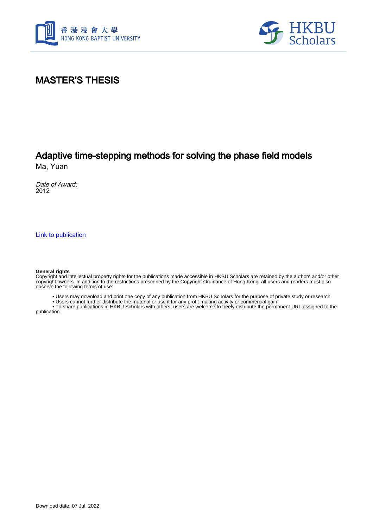



### MASTER'S THESIS

# Adaptive time-stepping methods for solving the phase field models

Ma, Yuan

Date of Award: 2012

[Link to publication](https://scholars.hkbu.edu.hk/en/studentTheses/0ae25eb3-d389-48ab-9bc8-820f17dedcf9)

#### **General rights**

Copyright and intellectual property rights for the publications made accessible in HKBU Scholars are retained by the authors and/or other copyright owners. In addition to the restrictions prescribed by the Copyright Ordinance of Hong Kong, all users and readers must also observe the following terms of use:

• Users may download and print one copy of any publication from HKBU Scholars for the purpose of private study or research

• Users cannot further distribute the material or use it for any profit-making activity or commercial gain

 • To share publications in HKBU Scholars with others, users are welcome to freely distribute the permanent URL assigned to the publication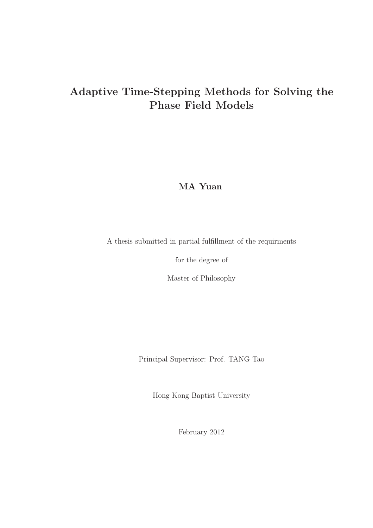## Adaptive Time-Stepping Methods for Solving the Phase Field Models

MA Yuan

A thesis submitted in partial fulfillment of the requirments

for the degree of

Master of Philosophy

Principal Supervisor: Prof. TANG Tao

Hong Kong Baptist University

February 2012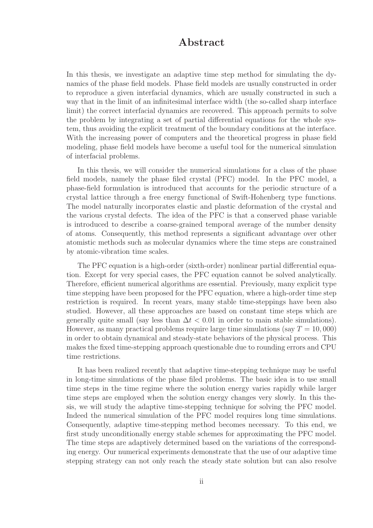#### Abstract

In this thesis, we investigate an adaptive time step method for simulating the dynamics of the phase field models. Phase field models are usually constructed in order to reproduce a given interfacial dynamics, which are usually constructed in such a way that in the limit of an infinitesimal interface width (the so-called sharp interface limit) the correct interfacial dynamics are recovered. This approach permits to solve the problem by integrating a set of partial differential equations for the whole system, thus avoiding the explicit treatment of the boundary conditions at the interface. With the increasing power of computers and the theoretical progress in phase field modeling, phase field models have become a useful tool for the numerical simulation of interfacial problems.

In this thesis, we will consider the numerical simulations for a class of the phase field models, namely the phase filed crystal (PFC) model. In the PFC model, a phase-field formulation is introduced that accounts for the periodic structure of a crystal lattice through a free energy functional of Swift-Hohenberg type functions. The model naturally incorporates elastic and plastic deformation of the crystal and the various crystal defects. The idea of the PFC is that a conserved phase variable is introduced to describe a coarse-grained temporal average of the number density of atoms. Consequently, this method represents a significant advantage over other atomistic methods such as molecular dynamics where the time steps are constrained by atomic-vibration time scales.

The PFC equation is a high-order (sixth-order) nonlinear partial differential equation. Except for very special cases, the PFC equation cannot be solved analytically. Therefore, efficient numerical algorithms are essential. Previously, many explicit type time stepping have been proposed for the PFC equation, where a high-order time step restriction is required. In recent years, many stable time-steppings have been also studied. However, all these approaches are based on constant time steps which are generally quite small (say less than  $\Delta t < 0.01$  in order to main stable simulations). However, as many practical problems require large time simulations (say  $T = 10,000$ ) in order to obtain dynamical and steady-state behaviors of the physical process. This makes the fixed time-stepping approach questionable due to rounding errors and CPU time restrictions.

It has been realized recently that adaptive time-stepping technique may be useful in long-time simulations of the phase filed problems. The basic idea is to use small time steps in the time regime where the solution energy varies rapidly while larger time steps are employed when the solution energy changes very slowly. In this thesis, we will study the adaptive time-stepping technique for solving the PFC model. Indeed the numerical simulation of the PFC model requires long time simulations. Consequently, adaptive time-stepping method becomes necessary. To this end, we first study unconditionally energy stable schemes for approximating the PFC model. The time steps are adaptively determined based on the variations of the corresponding energy. Our numerical experiments demonstrate that the use of our adaptive time stepping strategy can not only reach the steady state solution but can also resolve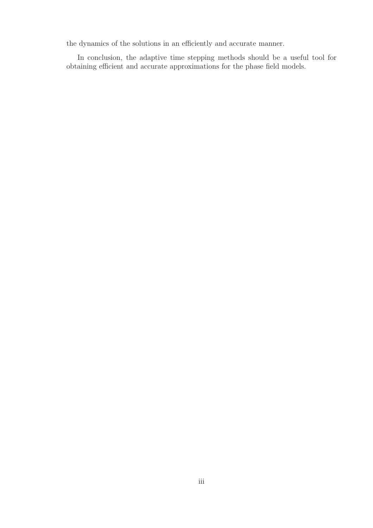the dynamics of the solutions in an efficiently and accurate manner.

In conclusion, the adaptive time stepping methods should be a useful tool for obtaining efficient and accurate approximations for the phase field models.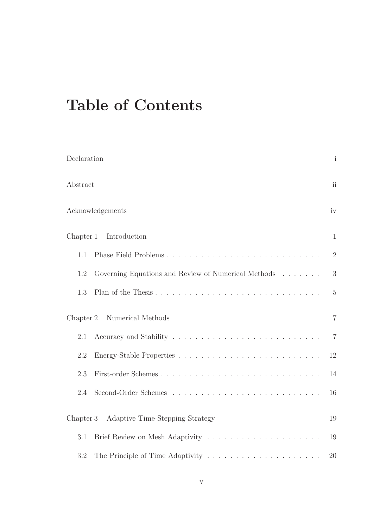# Table of Contents

| Declaration                                                | $\mathbf{i}$   |
|------------------------------------------------------------|----------------|
| Abstract                                                   | ii             |
| Acknowledgements                                           | iv             |
| Introduction<br>Chapter 1                                  | $\mathbf{1}$   |
| 1.1                                                        | $\overline{2}$ |
| 1.2<br>Governing Equations and Review of Numerical Methods | 3              |
| 1.3                                                        | $5\,$          |
| Numerical Methods<br>Chapter 2                             | $\overline{7}$ |
| 2.1                                                        | $\overline{7}$ |
| 2.2                                                        | 12             |
| 2.3                                                        | 14             |
| 2.4                                                        | 16             |
| Adaptive Time-Stepping Strategy<br>Chapter 3               | 19             |
| 3.1                                                        | 19             |
| 3.2                                                        | 20             |